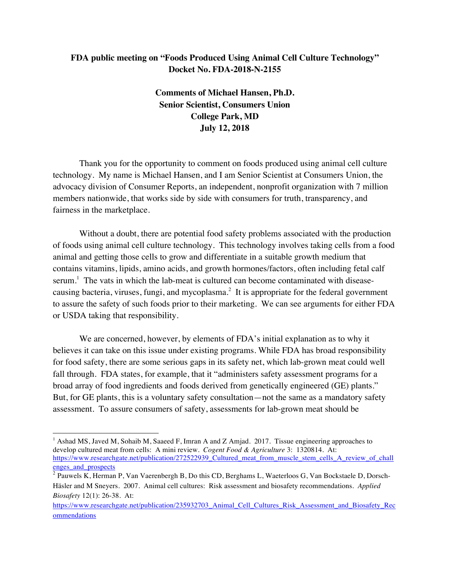## **FDA public meeting on "Foods Produced Using Animal Cell Culture Technology" Docket No. FDA-2018-N-2155**

**Comments of Michael Hansen, Ph.D. Senior Scientist, Consumers Union College Park, MD July 12, 2018**

 Thank you for the opportunity to comment on foods produced using animal cell culture technology. My name is Michael Hansen, and I am Senior Scientist at Consumers Union, the advocacy division of Consumer Reports, an independent, nonprofit organization with 7 million members nationwide, that works side by side with consumers for truth, transparency, and fairness in the marketplace.

 Without a doubt, there are potential food safety problems associated with the production of foods using animal cell culture technology. This technology involves taking cells from a food animal and getting those cells to grow and differentiate in a suitable growth medium that contains vitamins, lipids, amino acids, and growth hormones/factors, often including fetal calf serum.<sup>1</sup> The vats in which the lab-meat is cultured can become contaminated with diseasecausing bacteria, viruses, fungi, and mycoplasma. $2$  It is appropriate for the federal government to assure the safety of such foods prior to their marketing. We can see arguments for either FDA or USDA taking that responsibility.

We are concerned, however, by elements of FDA's initial explanation as to why it believes it can take on this issue under existing programs. While FDA has broad responsibility for food safety, there are some serious gaps in its safety net, which lab-grown meat could well fall through. FDA states, for example, that it "administers safety assessment programs for a broad array of food ingredients and foods derived from genetically engineered (GE) plants." But, for GE plants, this is a voluntary safety consultation—not the same as a mandatory safety assessment. To assure consumers of safety, assessments for lab-grown meat should be

<sup>&</sup>lt;sup>1</sup> Ashad MS, Javed M, Sohaib M, Saaeed F, Imran A and Z Amjad. 2017. Tissue engineering approaches to develop cultured meat from cells: A mini review. *Cogent Food & Agriculture* 3: 1320814. At: https://www.researchgate.net/publication/272522939\_Cultured\_meat\_from\_muscle\_stem\_cells\_A\_review\_of\_chall enges\_and\_prospects

 $2$  Pauwels K, Herman P, Van Vaerenbergh B, Do this CD, Berghams L, Waeterloos G, Van Bockstaele D, Dorsch-Häsler and M Sneyers. 2007. Animal cell cultures: Risk assessment and biosafety recommendations. *Applied Biosafety* 12(1): 26-38. At:

https://www.researchgate.net/publication/235932703\_Animal\_Cell\_Cultures\_Risk\_Assessment\_and\_Biosafety\_Rec ommendations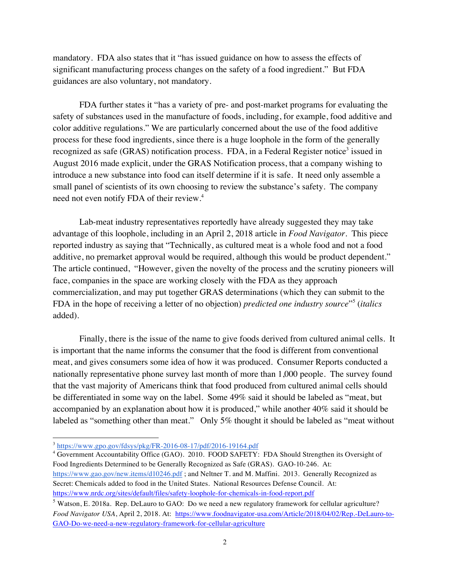mandatory. FDA also states that it "has issued guidance on how to assess the effects of significant manufacturing process changes on the safety of a food ingredient." But FDA guidances are also voluntary, not mandatory.

 FDA further states it "has a variety of pre- and post-market programs for evaluating the safety of substances used in the manufacture of foods, including, for example, food additive and color additive regulations." We are particularly concerned about the use of the food additive process for these food ingredients, since there is a huge loophole in the form of the generally recognized as safe (GRAS) notification process. FDA, in a Federal Register notice<sup>3</sup> issued in August 2016 made explicit, under the GRAS Notification process, that a company wishing to introduce a new substance into food can itself determine if it is safe. It need only assemble a small panel of scientists of its own choosing to review the substance's safety. The company need not even notify FDA of their review.<sup>4</sup>

Lab-meat industry representatives reportedly have already suggested they may take advantage of this loophole, including in an April 2, 2018 article in *Food Navigator.* This piece reported industry as saying that "Technically, as cultured meat is a whole food and not a food additive, no premarket approval would be required, although this would be product dependent." The article continued, "However, given the novelty of the process and the scrutiny pioneers will face, companies in the space are working closely with the FDA as they approach commercialization, and may put together GRAS determinations (which they can submit to the FDA in the hope of receiving a letter of no objection) *predicted one industry source*"<sup>5</sup> (*italics* added).

Finally, there is the issue of the name to give foods derived from cultured animal cells. It is important that the name informs the consumer that the food is different from conventional meat, and gives consumers some idea of how it was produced. Consumer Reports conducted a nationally representative phone survey last month of more than 1,000 people. The survey found that the vast majority of Americans think that food produced from cultured animal cells should be differentiated in some way on the label. Some 49% said it should be labeled as "meat, but accompanied by an explanation about how it is produced," while another 40% said it should be labeled as "something other than meat." Only 5% thought it should be labeled as "meat without

 $\overline{a}$ 

<sup>&</sup>lt;sup>3</sup> https://www.gpo.gov/fdsys/pkg/FR-2016-08-17/pdf/2016-19164.pdf

<sup>&</sup>lt;sup>4</sup> Government Accountability Office (GAO). 2010. FOOD SAFETY: FDA Should Strengthen its Oversight of Food Ingredients Determined to be Generally Recognized as Safe (GRAS). GAO-10-246. At: https://www.gao.gov/new.items/d10246.pdf; and Neltner T. and M. Maffini. 2013. Generally Recognized as Secret: Chemicals added to food in the United States. National Resources Defense Council. At: https://www.nrdc.org/sites/default/files/safety-loophole-for-chemicals-in-food-report.pdf

<sup>5</sup> Watson, E. 2018a. Rep. DeLauro to GAO: Do we need a new regulatory framework for cellular agriculture? *Food Navigator USA*, April 2, 2018. At: https://www.foodnavigator-usa.com/Article/2018/04/02/Rep.-DeLauro-to-GAO-Do-we-need-a-new-regulatory-framework-for-cellular-agriculture